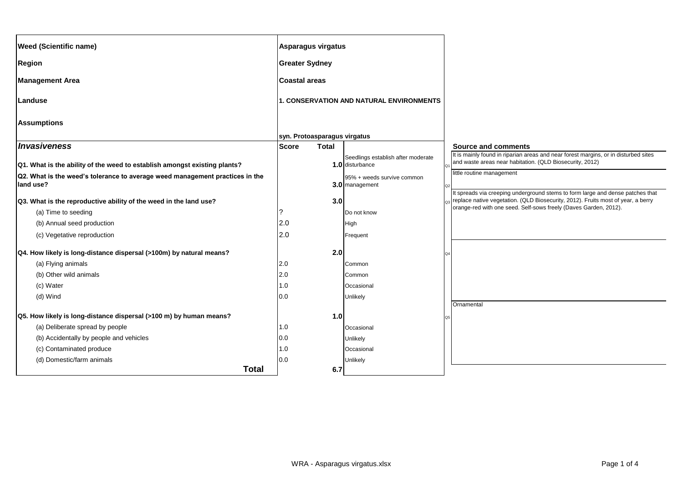| <b>Weed (Scientific name)</b>                                                             |                       | Asparagus virgatus           |                                                       |                                                                                                                                                                    |
|-------------------------------------------------------------------------------------------|-----------------------|------------------------------|-------------------------------------------------------|--------------------------------------------------------------------------------------------------------------------------------------------------------------------|
| <b>Region</b>                                                                             | <b>Greater Sydney</b> |                              |                                                       |                                                                                                                                                                    |
| <b>Management Area</b>                                                                    | <b>Coastal areas</b>  |                              |                                                       |                                                                                                                                                                    |
| Landuse                                                                                   |                       |                              | 1. CONSERVATION AND NATURAL ENVIRONMENTS              |                                                                                                                                                                    |
| <b>Assumptions</b>                                                                        |                       |                              |                                                       |                                                                                                                                                                    |
|                                                                                           |                       | syn. Protoasparagus virgatus |                                                       |                                                                                                                                                                    |
| <i><b>Invasiveness</b></i>                                                                | <b>Score</b>          | <b>Total</b>                 |                                                       | <b>Source and comments</b>                                                                                                                                         |
| Q1. What is the ability of the weed to establish amongst existing plants?                 |                       |                              | Seedlings establish after moderate<br>1.0 disturbance | It is mainly found in riparian areas and near forest margins, or in disturbed sites<br>and waste areas near habitation. (QLD Biosecurity, 2012)                    |
| Q2. What is the weed's tolerance to average weed management practices in the<br>land use? |                       |                              | 95% + weeds survive common<br>3.0 management          | little routine management                                                                                                                                          |
| Q3. What is the reproductive ability of the weed in the land use?                         |                       | 3.0                          |                                                       | It spreads via creeping underground stems to form large and dense patches that<br>replace native vegetation. (QLD Biosecurity, 2012). Fruits most of year, a berry |
| (a) Time to seeding                                                                       | ?                     |                              | Do not know                                           | orange-red with one seed. Self-sows freely (Daves Garden, 2012).                                                                                                   |
| (b) Annual seed production                                                                | 2.0                   |                              | High                                                  |                                                                                                                                                                    |
| (c) Vegetative reproduction                                                               | 2.0                   |                              | Frequent                                              |                                                                                                                                                                    |
| Q4. How likely is long-distance dispersal (>100m) by natural means?                       |                       | 2.0                          |                                                       |                                                                                                                                                                    |
| (a) Flying animals                                                                        | 2.0                   |                              | Common                                                |                                                                                                                                                                    |
| (b) Other wild animals                                                                    | 2.0                   |                              | Common                                                |                                                                                                                                                                    |
| (c) Water                                                                                 | 1.0                   |                              | Occasional                                            |                                                                                                                                                                    |
| (d) Wind                                                                                  | 0.0                   |                              | Unlikely                                              | Ornamental                                                                                                                                                         |
| Q5. How likely is long-distance dispersal (>100 m) by human means?                        |                       | 1.0                          |                                                       |                                                                                                                                                                    |
| (a) Deliberate spread by people                                                           | 1.0                   |                              | Occasional                                            |                                                                                                                                                                    |
| (b) Accidentally by people and vehicles                                                   | 0.0                   |                              | <b>Unlikely</b>                                       |                                                                                                                                                                    |
| (c) Contaminated produce                                                                  | 1.0                   |                              | Occasional                                            |                                                                                                                                                                    |
| (d) Domestic/farm animals                                                                 | 0.0                   |                              | Unlikely                                              |                                                                                                                                                                    |
| <b>Total</b>                                                                              |                       | 6.7                          |                                                       |                                                                                                                                                                    |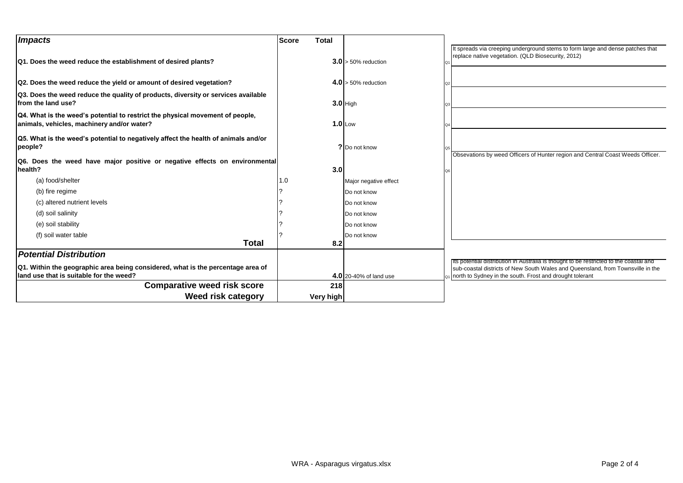| <b>Impacts</b>                                                                                                              | <b>Score</b><br><b>Total</b> |                        |                                                                                                                                      |
|-----------------------------------------------------------------------------------------------------------------------------|------------------------------|------------------------|--------------------------------------------------------------------------------------------------------------------------------------|
| Q1. Does the weed reduce the establishment of desired plants?                                                               |                              | $3.0 > 50\%$ reduction | It spreads via creeping underground stems to form large and dense patches that<br>replace native vegetation. (QLD Biosecurity, 2012) |
| Q2. Does the weed reduce the yield or amount of desired vegetation?                                                         |                              | $4.0$ > 50% reduction  |                                                                                                                                      |
| Q3. Does the weed reduce the quality of products, diversity or services available<br>from the land use?                     |                              | $3.0$ High             |                                                                                                                                      |
| Q4. What is the weed's potential to restrict the physical movement of people,<br>animals, vehicles, machinery and/or water? |                              | $1.0$ Low              |                                                                                                                                      |
| Q5. What is the weed's potential to negatively affect the health of animals and/or<br>people?                               |                              | ? Do not know          |                                                                                                                                      |
| Q6. Does the weed have major positive or negative effects on environmental<br>health?                                       | 3.0                          |                        | Obsevations by weed Officers of Hunter region and Central Coast Weeds Officer.                                                       |
| (a) food/shelter                                                                                                            | 1.0                          | Major negative effect  |                                                                                                                                      |
| (b) fire regime                                                                                                             |                              | Do not know            |                                                                                                                                      |
| (c) altered nutrient levels                                                                                                 |                              | Do not know            |                                                                                                                                      |
| (d) soil salinity                                                                                                           |                              | Do not know            |                                                                                                                                      |
| (e) soil stability                                                                                                          |                              | Do not know            |                                                                                                                                      |
| (f) soil water table                                                                                                        |                              | Do not know            |                                                                                                                                      |
| <b>Total</b>                                                                                                                | 8.2                          |                        |                                                                                                                                      |
| Potential Distribution                                                                                                      |                              |                        | Its potential distribution in Australia is thought to be restricted to the coastal and                                               |
| Q1. Within the geographic area being considered, what is the percentage area of                                             |                              |                        | sub-coastal districts of New South Wales and Queensland, from Townsville in the                                                      |
| land use that is suitable for the weed?                                                                                     |                              | 4.0 20-40% of land use | north to Sydney in the south. Frost and drought tolerant                                                                             |
| <b>Comparative weed risk score</b>                                                                                          | 218                          |                        |                                                                                                                                      |
| Weed risk category                                                                                                          | Very high                    |                        |                                                                                                                                      |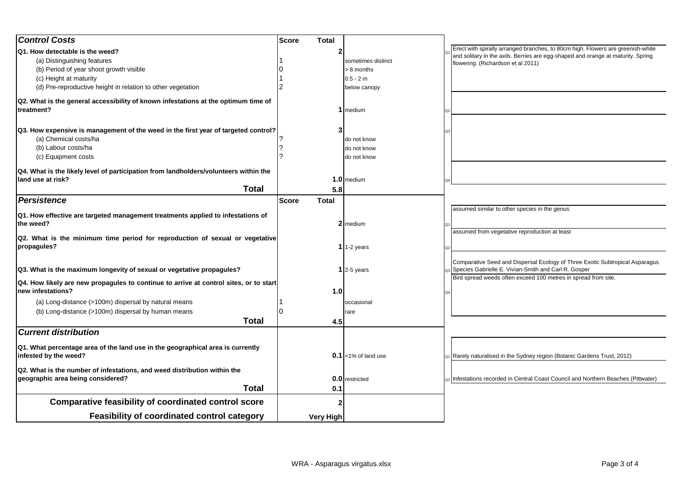| <b>Control Costs</b>                                                                                          | <b>Score</b> | <b>Total</b> |                       |                                                                                                                                      |
|---------------------------------------------------------------------------------------------------------------|--------------|--------------|-----------------------|--------------------------------------------------------------------------------------------------------------------------------------|
| Q1. How detectable is the weed?                                                                               |              |              |                       | Erect with spirally arranged branches, to 80cm high. Flowers are greenish-white                                                      |
| (a) Distinguishing features                                                                                   |              |              | sometimes distinct    | and solitary in the axils. Berries are egg-shaped and orange at maturity. Spring<br>flowering. (Richardson et al 2011)               |
| (b) Period of year shoot growth visible                                                                       |              |              | > 8 months            |                                                                                                                                      |
| (c) Height at maturity                                                                                        |              |              | $0.5 - 2m$            |                                                                                                                                      |
| (d) Pre-reproductive height in relation to other vegetation                                                   |              |              | below canopy          |                                                                                                                                      |
| Q2. What is the general accessibility of known infestations at the optimum time of<br>treatment?              |              |              | medium                |                                                                                                                                      |
| Q3. How expensive is management of the weed in the first year of targeted control?<br>(a) Chemical costs/ha   |              |              | do not know           |                                                                                                                                      |
| (b) Labour costs/ha                                                                                           |              |              | do not know           |                                                                                                                                      |
| (c) Equipment costs                                                                                           |              |              | do not know           |                                                                                                                                      |
| Q4. What is the likely level of participation from landholders/volunteers within the                          |              |              |                       |                                                                                                                                      |
| land use at risk?                                                                                             |              |              | 1.0 medium            |                                                                                                                                      |
| <b>Total</b>                                                                                                  |              | 5.8          |                       |                                                                                                                                      |
| Persistence                                                                                                   | <b>Score</b> | <b>Total</b> |                       |                                                                                                                                      |
| Q1. How effective are targeted management treatments applied to infestations of<br>the weed?                  |              |              | 2 medium              | assumed similar to other species in the genus                                                                                        |
| Q2. What is the minimum time period for reproduction of sexual or vegetative<br>propagules?                   |              |              | 1 $1-2$ years         | assumed from vegetative reproduction at least                                                                                        |
| Q3. What is the maximum longevity of sexual or vegetative propagules?                                         |              |              | $1$ 2-5 years         | Comparative Seed and Dispersal Ecology of Three Exotic Subtropical Asparagus<br>Species Gabrielle E. Vivian-Smith and Carl R. Gosper |
| Q4. How likely are new propagules to continue to arrive at control sites, or to start<br>new infestations?    |              | 1.0          |                       | Bird spread weeds often exceed 100 metres in spread from site.                                                                       |
| (a) Long-distance (>100m) dispersal by natural means                                                          |              |              | occasional            |                                                                                                                                      |
| (b) Long-distance (>100m) dispersal by human means                                                            |              |              | rare                  |                                                                                                                                      |
| <b>Total</b>                                                                                                  |              | 4.5          |                       |                                                                                                                                      |
| <b>Current distribution</b>                                                                                   |              |              |                       |                                                                                                                                      |
| Q1. What percentage area of the land use in the geographical area is currently<br>infested by the weed?       |              |              | $0.1$ <1% of land use | Rarely naturalised in the Sydney region (Botanic Gardens Trust, 2012)                                                                |
| Q2. What is the number of infestations, and weed distribution within the<br>geographic area being considered? |              |              | 0.0 restricted        | Infestations recorded in Central Coast Council and Northern Beaches (Pittwater)                                                      |
| <b>Total</b>                                                                                                  |              | 0.1          |                       |                                                                                                                                      |
| <b>Comparative feasibility of coordinated control score</b>                                                   |              |              |                       |                                                                                                                                      |
| Feasibility of coordinated control category                                                                   |              | Very High    |                       |                                                                                                                                      |